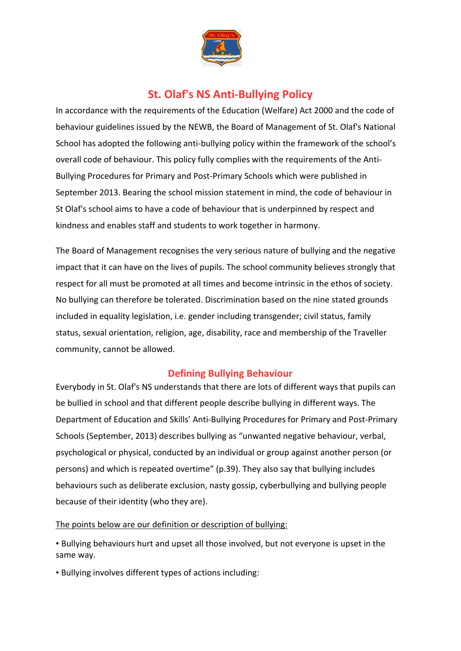

## **St. Olaf's NS Anti-Bullying Policy**

In accordance with the requirements of the Education (Welfare) Act 2000 and the code of behaviour guidelines issued by the NEWB, the Board of Management of St. Olaf's National School has adopted the following anti-bullying policy within the framework of the school's overall code of behaviour. This policy fully complies with the requirements of the Anti-Bullying Procedures for Primary and Post-Primary Schools which were published in September 2013. Bearing the school mission statement in mind, the code of behaviour in St Olaf's school aims to have a code of behaviour that is underpinned by respect and kindness and enables staff and students to work together in harmony.

The Board of Management recognises the very serious nature of bullying and the negative impact that it can have on the lives of pupils. The school community believes strongly that respect for all must be promoted at all times and become intrinsic in the ethos of society. No bullying can therefore be tolerated. Discrimination based on the nine stated grounds included in equality legislation, i.e. gender including transgender; civil status, family status, sexual orientation, religion, age, disability, race and membership of the Traveller community, cannot be allowed.

## **Defining Bullying Behaviour**

Everybody in St. Olaf's NS understands that there are lots of different ways that pupils can be bullied in school and that different people describe bullying in different ways. The Department of Education and Skills' Anti-Bullying Procedures for Primary and Post-Primary Schools (September, 2013) describes bullying as "unwanted negative behaviour, verbal, psychological or physical, conducted by an individual or group against another person (or persons) and which is repeated overtime" (p.39). They also say that bullying includes behaviours such as deliberate exclusion, nasty gossip, cyberbullying and bullying people because of their identity (who they are).

#### The points below are our definition or description of bullying:

• Bullying behaviours hurt and upset all those involved, but not everyone is upset in the same way.

• Bullying involves different types of actions including: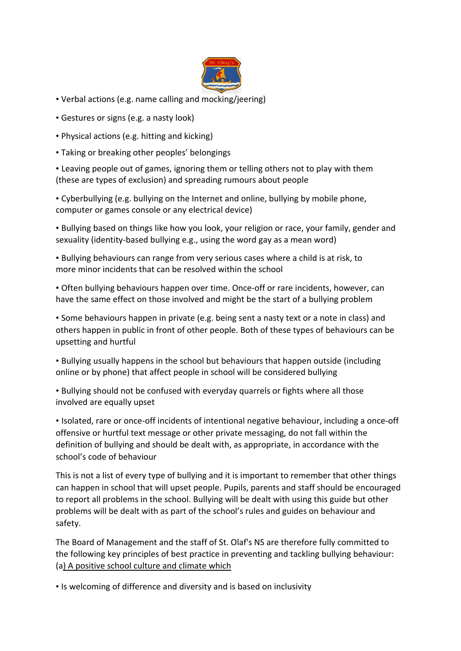

- Verbal actions (e.g. name calling and mocking/jeering)
- Gestures or signs (e.g. a nasty look)
- Physical actions (e.g. hitting and kicking)
- Taking or breaking other peoples' belongings

• Leaving people out of games, ignoring them or telling others not to play with them (these are types of exclusion) and spreading rumours about people

• Cyberbullying (e.g. bullying on the Internet and online, bullying by mobile phone, computer or games console or any electrical device)

• Bullying based on things like how you look, your religion or race, your family, gender and sexuality (identity-based bullying e.g., using the word gay as a mean word)

• Bullying behaviours can range from very serious cases where a child is at risk, to more minor incidents that can be resolved within the school

• Often bullying behaviours happen over time. Once-off or rare incidents, however, can have the same effect on those involved and might be the start of a bullying problem

• Some behaviours happen in private (e.g. being sent a nasty text or a note in class) and others happen in public in front of other people. Both of these types of behaviours can be upsetting and hurtful

• Bullying usually happens in the school but behaviours that happen outside (including online or by phone) that affect people in school will be considered bullying

• Bullying should not be confused with everyday quarrels or fights where all those involved are equally upset

• Isolated, rare or once-off incidents of intentional negative behaviour, including a once-off offensive or hurtful text message or other private messaging, do not fall within the definition of bullying and should be dealt with, as appropriate, in accordance with the school's code of behaviour

This is not a list of every type of bullying and it is important to remember that other things can happen in school that will upset people. Pupils, parents and staff should be encouraged to report all problems in the school. Bullying will be dealt with using this guide but other problems will be dealt with as part of the school's rules and guides on behaviour and safety.

The Board of Management and the staff of St. Olaf's NS are therefore fully committed to the following key principles of best practice in preventing and tackling bullying behaviour: (a) A positive school culture and climate which

• Is welcoming of difference and diversity and is based on inclusivity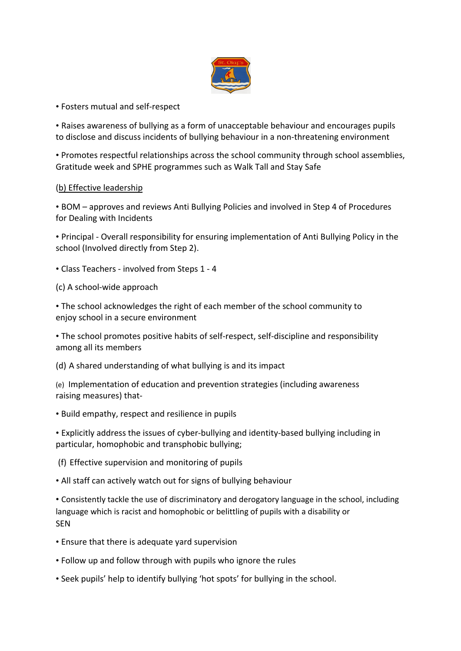

#### • Fosters mutual and self-respect

• Raises awareness of bullying as a form of unacceptable behaviour and encourages pupils to disclose and discuss incidents of bullying behaviour in a non-threatening environment

• Promotes respectful relationships across the school community through school assemblies, Gratitude week and SPHE programmes such as Walk Tall and Stay Safe

#### (b) Effective leadership

• BOM – approves and reviews Anti Bullying Policies and involved in Step 4 of Procedures for Dealing with Incidents

• Principal - Overall responsibility for ensuring implementation of Anti Bullying Policy in the school (Involved directly from Step 2).

• Class Teachers - involved from Steps 1 - 4

(c) A school-wide approach

• The school acknowledges the right of each member of the school community to enjoy school in a secure environment

• The school promotes positive habits of self-respect, self-discipline and responsibility among all its members

(d) A shared understanding of what bullying is and its impact

(e) Implementation of education and prevention strategies (including awareness raising measures) that-

• Build empathy, respect and resilience in pupils

• Explicitly address the issues of cyber-bullying and identity-based bullying including in particular, homophobic and transphobic bullying;

(f) Effective supervision and monitoring of pupils

• All staff can actively watch out for signs of bullying behaviour

• Consistently tackle the use of discriminatory and derogatory language in the school, including language which is racist and homophobic or belittling of pupils with a disability or **SEN** 

- Ensure that there is adequate yard supervision
- Follow up and follow through with pupils who ignore the rules
- Seek pupils' help to identify bullying 'hot spots' for bullying in the school.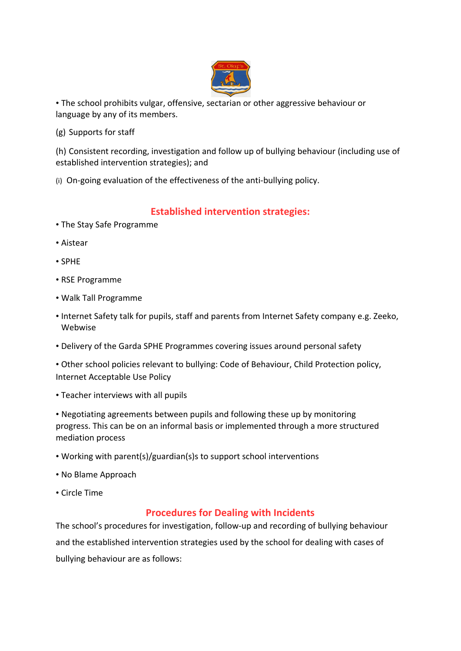

• The school prohibits vulgar, offensive, sectarian or other aggressive behaviour or language by any of its members.

(g) Supports for staff

(h) Consistent recording, investigation and follow up of bullying behaviour (including use of established intervention strategies); and

(i) On-going evaluation of the effectiveness of the anti-bullying policy.

## **Established intervention strategies:**

- The Stay Safe Programme
- Aistear
- SPHE
- RSE Programme
- Walk Tall Programme
- Internet Safety talk for pupils, staff and parents from Internet Safety company e.g. Zeeko, Webwise
- Delivery of the Garda SPHE Programmes covering issues around personal safety

• Other school policies relevant to bullying: Code of Behaviour, Child Protection policy, Internet Acceptable Use Policy

• Teacher interviews with all pupils

• Negotiating agreements between pupils and following these up by monitoring progress. This can be on an informal basis or implemented through a more structured mediation process

- Working with parent(s)/guardian(s)s to support school interventions
- No Blame Approach
- Circle Time

#### **Procedures for Dealing with Incidents**

The school's procedures for investigation, follow-up and recording of bullying behaviour and the established intervention strategies used by the school for dealing with cases of bullying behaviour are as follows: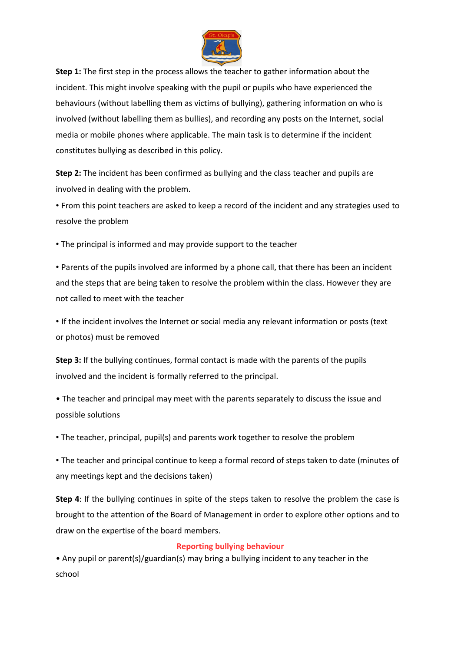

**Step 1:** The first step in the process allows the teacher to gather information about the incident. This might involve speaking with the pupil or pupils who have experienced the behaviours (without labelling them as victims of bullying), gathering information on who is involved (without labelling them as bullies), and recording any posts on the Internet, social media or mobile phones where applicable. The main task is to determine if the incident constitutes bullying as described in this policy.

**Step 2:** The incident has been confirmed as bullying and the class teacher and pupils are involved in dealing with the problem.

• From this point teachers are asked to keep a record of the incident and any strategies used to resolve the problem

• The principal is informed and may provide support to the teacher

• Parents of the pupils involved are informed by a phone call, that there has been an incident and the steps that are being taken to resolve the problem within the class. However they are not called to meet with the teacher

• If the incident involves the Internet or social media any relevant information or posts (text or photos) must be removed

**Step 3:** If the bullying continues, formal contact is made with the parents of the pupils involved and the incident is formally referred to the principal.

• The teacher and principal may meet with the parents separately to discuss the issue and possible solutions

• The teacher, principal, pupil(s) and parents work together to resolve the problem

• The teacher and principal continue to keep a formal record of steps taken to date (minutes of any meetings kept and the decisions taken)

**Step 4**: If the bullying continues in spite of the steps taken to resolve the problem the case is brought to the attention of the Board of Management in order to explore other options and to draw on the expertise of the board members.

#### **Reporting bullying behaviour**

• Any pupil or parent(s)/guardian(s) may bring a bullying incident to any teacher in the school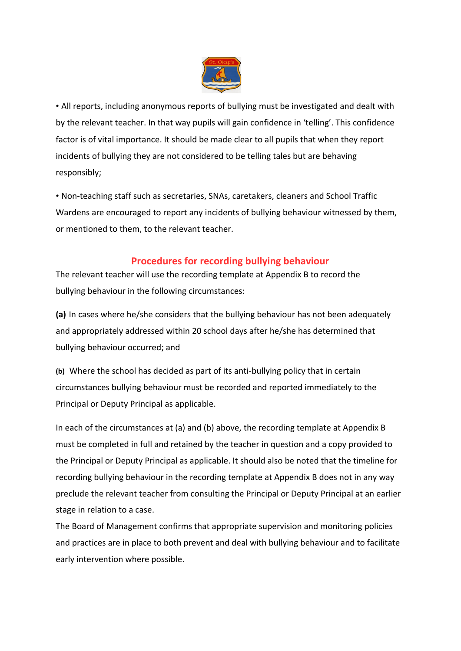

• All reports, including anonymous reports of bullying must be investigated and dealt with by the relevant teacher. In that way pupils will gain confidence in 'telling'. This confidence factor is of vital importance. It should be made clear to all pupils that when they report incidents of bullying they are not considered to be telling tales but are behaving responsibly;

• Non-teaching staff such as secretaries, SNAs, caretakers, cleaners and School Traffic Wardens are encouraged to report any incidents of bullying behaviour witnessed by them, or mentioned to them, to the relevant teacher.

### **Procedures for recording bullying behaviour**

The relevant teacher will use the recording template at Appendix B to record the bullying behaviour in the following circumstances:

**(a)** In cases where he/she considers that the bullying behaviour has not been adequately and appropriately addressed within 20 school days after he/she has determined that bullying behaviour occurred; and

**(b)** Where the school has decided as part of its anti-bullying policy that in certain circumstances bullying behaviour must be recorded and reported immediately to the Principal or Deputy Principal as applicable.

In each of the circumstances at (a) and (b) above, the recording template at Appendix B must be completed in full and retained by the teacher in question and a copy provided to the Principal or Deputy Principal as applicable. It should also be noted that the timeline for recording bullying behaviour in the recording template at Appendix B does not in any way preclude the relevant teacher from consulting the Principal or Deputy Principal at an earlier stage in relation to a case.

The Board of Management confirms that appropriate supervision and monitoring policies and practices are in place to both prevent and deal with bullying behaviour and to facilitate early intervention where possible.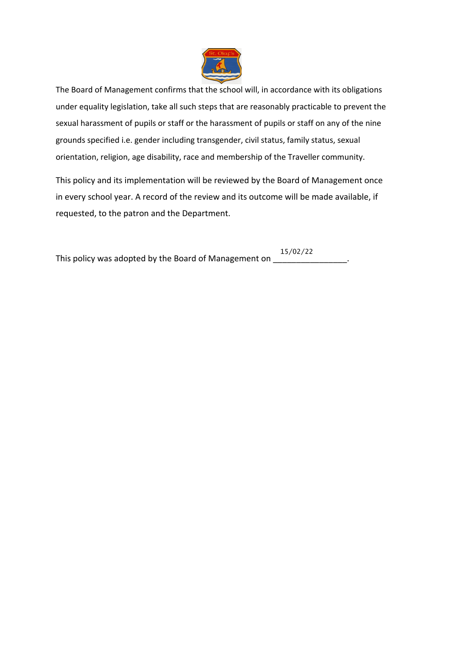

The Board of Management confirms that the school will, in accordance with its obligations under equality legislation, take all such steps that are reasonably practicable to prevent the sexual harassment of pupils or staff or the harassment of pupils or staff on any of the nine grounds specified i.e. gender including transgender, civil status, family status, sexual orientation, religion, age disability, race and membership of the Traveller community.

This policy and its implementation will be reviewed by the Board of Management once in every school year. A record of the review and its outcome will be made available, if requested, to the patron and the Department.

This policy was adopted by the Board of Management on \_\_\_\_\_\_\_\_\_\_\_\_\_\_\_\_\_\_\_\_.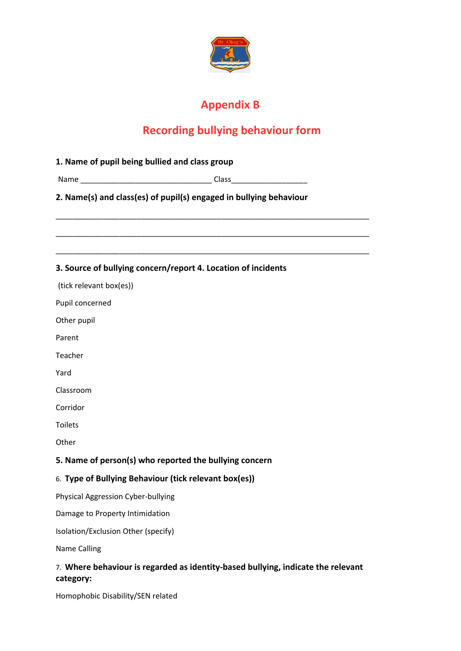

# **Appendix B**

# **Recording bullying behaviour form**

| 1. Name of pupil being bullied and class group                     |                                                                                  |  |
|--------------------------------------------------------------------|----------------------------------------------------------------------------------|--|
|                                                                    |                                                                                  |  |
| 2. Name(s) and class(es) of pupil(s) engaged in bullying behaviour |                                                                                  |  |
|                                                                    |                                                                                  |  |
|                                                                    | 3. Source of bullying concern/report 4. Location of incidents                    |  |
| (tick relevant box(es))                                            |                                                                                  |  |
| Pupil concerned                                                    |                                                                                  |  |
| Other pupil                                                        |                                                                                  |  |
| Parent                                                             |                                                                                  |  |
| Teacher                                                            |                                                                                  |  |
| Yard                                                               |                                                                                  |  |
| Classroom                                                          |                                                                                  |  |
| Corridor                                                           |                                                                                  |  |
| <b>Toilets</b>                                                     |                                                                                  |  |
| Other                                                              |                                                                                  |  |
|                                                                    | 5. Name of person(s) who reported the bullying concern                           |  |
| 6. Type of Bullying Behaviour (tick relevant box(es))              |                                                                                  |  |
| <b>Physical Aggression Cyber-bullying</b>                          |                                                                                  |  |
| Damage to Property Intimidation                                    |                                                                                  |  |
| Isolation/Exclusion Other (specify)                                |                                                                                  |  |
| <b>Name Calling</b>                                                |                                                                                  |  |
|                                                                    | 7. Where behaviour is regarded as identity-based bullying, indicate the relevant |  |

**category:**

Homophobic Disability/SEN related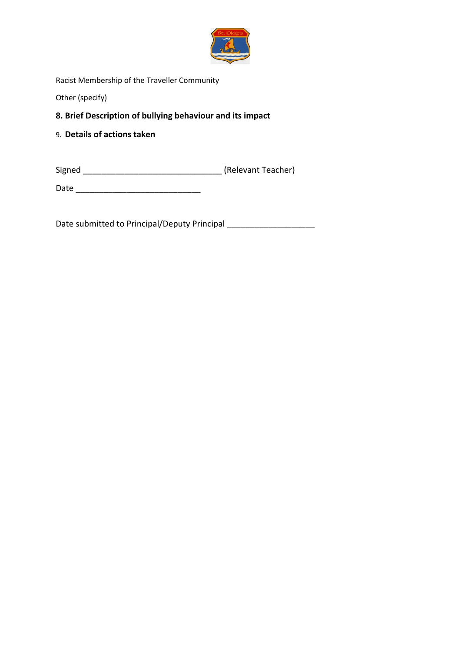

Racist Membership of the Traveller Community

Other (specify)

#### **8. Brief Description of bullying behaviour and its impact**

9. **Details of actions taken**

Signed \_\_\_\_\_\_\_\_\_\_\_\_\_\_\_\_\_\_\_\_\_\_\_\_\_\_\_\_\_\_ (Relevant Teacher)

Date \_\_\_\_\_\_\_\_\_\_\_\_\_\_\_\_\_\_\_\_\_\_\_\_\_\_\_

Date submitted to Principal/Deputy Principal \_\_\_\_\_\_\_\_\_\_\_\_\_\_\_\_\_\_\_\_\_\_\_\_\_\_\_\_\_\_\_\_\_\_\_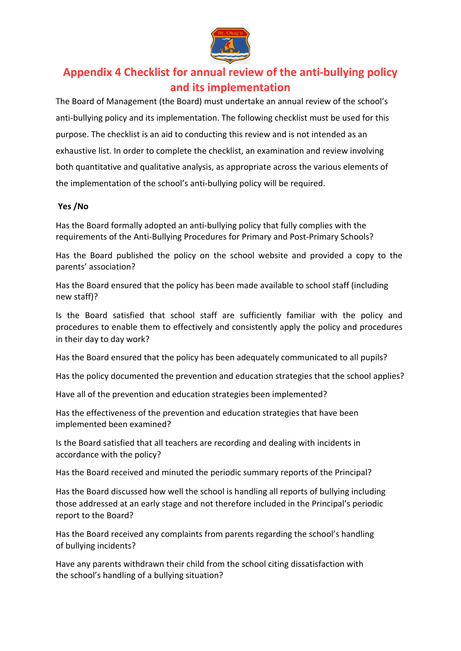

## **Appendix 4 Checklist for annual review of the anti-bullying policy and its implementation**

The Board of Management (the Board) must undertake an annual review of the school's anti-bullying policy and its implementation. The following checklist must be used for this purpose. The checklist is an aid to conducting this review and is not intended as an exhaustive list. In order to complete the checklist, an examination and review involving both quantitative and qualitative analysis, as appropriate across the various elements of the implementation of the school's anti-bullying policy will be required.

#### **Yes /No**

Has the Board formally adopted an anti-bullying policy that fully complies with the requirements of the Anti-Bullying Procedures for Primary and Post-Primary Schools?

Has the Board published the policy on the school website and provided a copy to the parents' association?

Has the Board ensured that the policy has been made available to school staff (including new staff)?

Is the Board satisfied that school staff are sufficiently familiar with the policy and procedures to enable them to effectively and consistently apply the policy and procedures in their day to day work?

Has the Board ensured that the policy has been adequately communicated to all pupils?

Has the policy documented the prevention and education strategies that the school applies?

Have all of the prevention and education strategies been implemented?

Has the effectiveness of the prevention and education strategies that have been implemented been examined?

Is the Board satisfied that all teachers are recording and dealing with incidents in accordance with the policy?

Has the Board received and minuted the periodic summary reports of the Principal?

Has the Board discussed how well the school is handling all reports of bullying including those addressed at an early stage and not therefore included in the Principal's periodic report to the Board?

Has the Board received any complaints from parents regarding the school's handling of bullying incidents?

Have any parents withdrawn their child from the school citing dissatisfaction with the school's handling of a bullying situation?